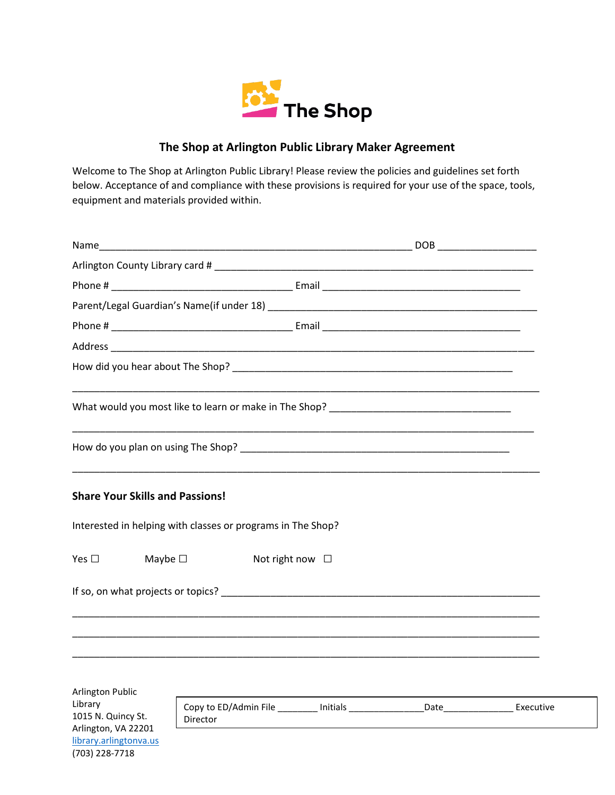

## **The Shop at Arlington Public Library Maker Agreement**

Welcome to The Shop at Arlington Public Library! Please review the policies and guidelines set forth below. Acceptance of and compliance with these provisions is required for your use of the space, tools, equipment and materials provided within.

| <b>Share Your Skills and Passions!</b>               |                                                                                                                                                                                                                                |                                                                                                              |  |
|------------------------------------------------------|--------------------------------------------------------------------------------------------------------------------------------------------------------------------------------------------------------------------------------|--------------------------------------------------------------------------------------------------------------|--|
|                                                      | Interested in helping with classes or programs in The Shop?                                                                                                                                                                    |                                                                                                              |  |
| Yes $\Box$                                           | Maybe $\square$                                                                                                                                                                                                                | Not right now $\Box$                                                                                         |  |
|                                                      | If so, on what projects or topics? The contract of the contract of the contract of the contract of the contract of the contract of the contract of the contract of the contract of the contract of the contract of the contrac |                                                                                                              |  |
|                                                      |                                                                                                                                                                                                                                |                                                                                                              |  |
|                                                      |                                                                                                                                                                                                                                |                                                                                                              |  |
| <b>Arlington Public</b>                              |                                                                                                                                                                                                                                |                                                                                                              |  |
| Library<br>1015 N. Quincy St.<br>Arlington, VA 22201 | Director                                                                                                                                                                                                                       | Copy to ED/Admin File https://www.bib.com/pateducks.com/pateducks/2010/2010 01/2010 01/2010 01/2010 01:00:00 |  |

[library.arlingtonva.us](http://library.arlingtonva.us/) (703) 228-7718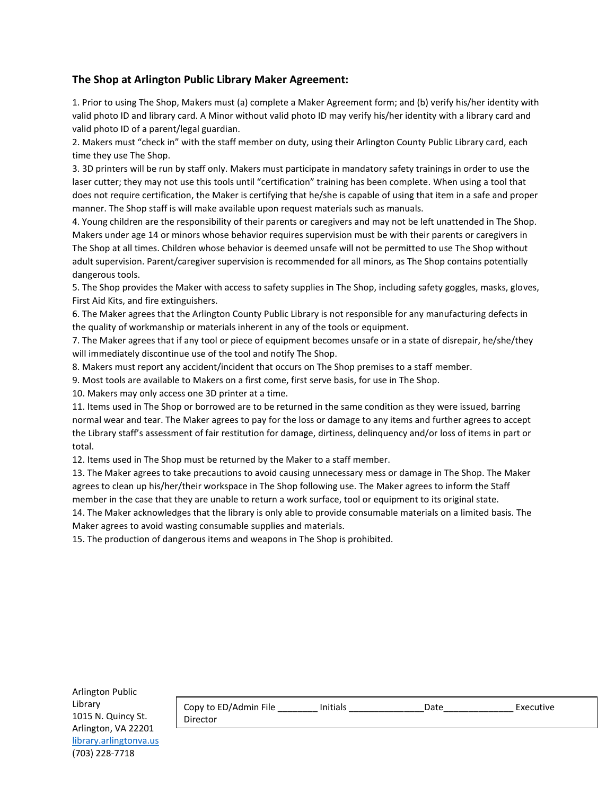## **The Shop at Arlington Public Library Maker Agreement:**

1. Prior to using The Shop, Makers must (a) complete a Maker Agreement form; and (b) verify his/her identity with valid photo ID and library card. A Minor without valid photo ID may verify his/her identity with a library card and valid photo ID of a parent/legal guardian.

2. Makers must "check in" with the staff member on duty, using their Arlington County Public Library card, each time they use The Shop.

3. 3D printers will be run by staff only. Makers must participate in mandatory safety trainings in order to use the laser cutter; they may not use this tools until "certification" training has been complete. When using a tool that does not require certification, the Maker is certifying that he/she is capable of using that item in a safe and proper manner. The Shop staff is will make available upon request materials such as manuals.

4. Young children are the responsibility of their parents or caregivers and may not be left unattended in The Shop. Makers under age 14 or minors whose behavior requires supervision must be with their parents or caregivers in The Shop at all times. Children whose behavior is deemed unsafe will not be permitted to use The Shop without adult supervision. Parent/caregiver supervision is recommended for all minors, as The Shop contains potentially dangerous tools.

5. The Shop provides the Maker with access to safety supplies in The Shop, including safety goggles, masks, gloves, First Aid Kits, and fire extinguishers.

6. The Maker agrees that the Arlington County Public Library is not responsible for any manufacturing defects in the quality of workmanship or materials inherent in any of the tools or equipment.

7. The Maker agrees that if any tool or piece of equipment becomes unsafe or in a state of disrepair, he/she/they will immediately discontinue use of the tool and notify The Shop.

8. Makers must report any accident/incident that occurs on The Shop premises to a staff member.

9. Most tools are available to Makers on a first come, first serve basis, for use in The Shop.

10. Makers may only access one 3D printer at a time.

11. Items used in The Shop or borrowed are to be returned in the same condition as they were issued, barring normal wear and tear. The Maker agrees to pay for the loss or damage to any items and further agrees to accept the Library staff's assessment of fair restitution for damage, dirtiness, delinquency and/or loss of items in part or total.

12. Items used in The Shop must be returned by the Maker to a staff member.

13. The Maker agrees to take precautions to avoid causing unnecessary mess or damage in The Shop. The Maker agrees to clean up his/her/their workspace in The Shop following use. The Maker agrees to inform the Staff member in the case that they are unable to return a work surface, tool or equipment to its original state. 14. The Maker acknowledges that the library is only able to provide consumable materials on a limited basis. The

Maker agrees to avoid wasting consumable supplies and materials.

15. The production of dangerous items and weapons in The Shop is prohibited.

| Copy to ED/Admin File | Initials | Date | Executive |
|-----------------------|----------|------|-----------|
| Director              |          |      |           |